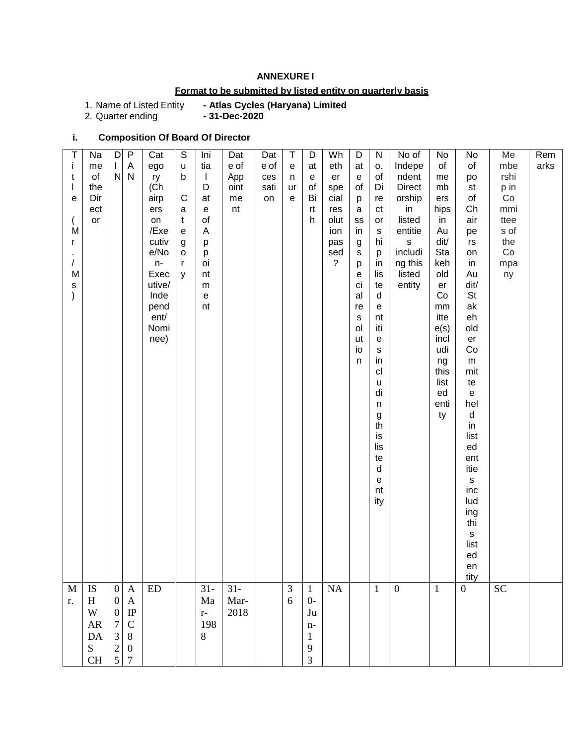### **ANNEXURE I**

## **Format to be submitted by listed entity on quarterly basis**

1. Name of Listed Entity<br>2. Quarter ending

- Atlas Cycles (Haryana) Limited<br>- 31-Dec-2020

## **i. Composition Of Board Of Director**

| Τ<br>Ť<br>t<br>$\overline{\phantom{a}}$<br>$\mathbf e$<br>M<br>r<br>T<br>M<br>$\mathsf{s}$<br>$\mathcal{E}$ | Na<br>me<br>of<br>the<br>Dir<br>ect<br>$\mathsf{or}\,$ | D<br>L<br>${\sf N}$                                                                                       | P<br>Α<br>N                                                                                      | Cat<br>ego<br>ry<br>(Ch<br>airp<br>ers<br>on<br>/Exe<br>cutiv<br>e/No<br>n-<br>Exec<br>utive/<br>Inde<br>pend<br>ent/<br>Nomi<br>nee) | $\mathbb S$<br>$\sf u$<br>b<br>$\mathsf{C}$<br>a<br>$\mathbf t$<br>${\bf e}$<br>$\boldsymbol{g}$<br>$\mathsf{o}\,$<br>r<br>y | Ini<br>tia<br>$\mathbf{I}$<br>D<br>at<br>$\mathsf{e}% _{0}\left( \mathsf{e}\right)$<br>of<br>A<br>p<br>p<br>oi<br>nt<br>${\sf m}$<br>$\mathsf{e}% _{0}\left( \mathsf{e}\right)$<br>nt | Dat<br>e of<br>App<br>oint<br>me<br>nt | Dat<br>e of<br>ces<br>sati<br>on | Τ<br>e<br>n<br>ur<br>e | D<br>at<br>e<br>of<br>Bi<br>rt<br>h                          | Wh<br>eth<br>er<br>spe<br>cial<br>res<br>olut<br>ion<br>pas<br>sed<br>? | D<br>at<br>e<br>of<br>р<br>$\mathsf a$<br>SS<br>in<br>g<br>$\mathsf{s}$<br>p<br>e<br>ci<br>al<br>re<br>$\mathsf{s}$<br>ol<br>ut<br>io<br>n | ${\sf N}$<br>о.<br>of<br>Di<br>re<br>ct<br>$\mathop{\mathsf{or}}$<br>$\mathbf S$<br>hi<br>p<br>in<br>lis<br>te<br>d<br>e<br>nt<br>iti<br>${\bf e}$<br>$\mathsf{s}$<br>in<br>cl<br>$\sf u$<br>di<br>$\sf n$<br>g<br>th<br>is<br>lis<br>te<br>$\sf d$<br>$\mathsf{e}% _{t}\left( t\right)$<br>nt<br>ity | No of<br>Indepe<br>ndent<br>Direct<br>orship<br>in<br>listed<br>entitie<br>$\mathsf{s}$<br>includi<br>ng this<br>listed<br>entity | No<br>of<br>me<br>mb<br>ers<br>hips<br>in<br>Au<br>dit/<br>Sta<br>keh<br>old<br>er<br>Co<br>$\mathsf{mm}$<br>itte<br>e(s)<br>incl<br>udi<br>ng<br>this<br>list<br>ed<br>enti<br>ty | No<br>of<br>po<br>st<br>of<br>Ch<br>air<br>pe<br>rs<br>on<br>in<br>Au<br>dit/<br><b>St</b><br>ak<br>eh<br>old<br>er<br>Co<br>m<br>mit<br>te<br>${\bf e}$<br>hel<br>d<br>in<br>list<br>ed<br>ent<br>itie<br>$\mathsf{s}$<br>inc<br>lud<br>ing<br>thi<br>$\mathsf{s}$<br>list<br>ed<br>en<br>tity | Me<br>mbe<br>rshi<br>p in<br>Co<br>mmi<br>ttee<br>s of<br>the<br>Co<br>mpa<br>ny | Rem<br>arks |
|-------------------------------------------------------------------------------------------------------------|--------------------------------------------------------|-----------------------------------------------------------------------------------------------------------|--------------------------------------------------------------------------------------------------|---------------------------------------------------------------------------------------------------------------------------------------|------------------------------------------------------------------------------------------------------------------------------|---------------------------------------------------------------------------------------------------------------------------------------------------------------------------------------|----------------------------------------|----------------------------------|------------------------|--------------------------------------------------------------|-------------------------------------------------------------------------|--------------------------------------------------------------------------------------------------------------------------------------------|-------------------------------------------------------------------------------------------------------------------------------------------------------------------------------------------------------------------------------------------------------------------------------------------------------|-----------------------------------------------------------------------------------------------------------------------------------|------------------------------------------------------------------------------------------------------------------------------------------------------------------------------------|-------------------------------------------------------------------------------------------------------------------------------------------------------------------------------------------------------------------------------------------------------------------------------------------------|----------------------------------------------------------------------------------|-------------|
| M<br>r.                                                                                                     | <b>IS</b><br>H<br>W<br>AR<br>DA<br>${\bf S}$<br>CH     | $\overline{0}$<br>$\boldsymbol{0}$<br>$\boldsymbol{0}$<br>$\tau$<br>$\mathfrak{Z}$<br>$\overline{c}$<br>5 | $\mathbf{A}$<br>$\mathbf{A}$<br>IP<br>$\mathbf C$<br>$8\,$<br>$\boldsymbol{0}$<br>$\overline{7}$ | ED                                                                                                                                    |                                                                                                                              | $31 -$<br>Ma<br>$r-$<br>198<br>8                                                                                                                                                      | $31 -$<br>Mar-<br>2018                 |                                  | $\mathfrak{Z}$<br>6    | $\mathbf{1}$<br>$0-$<br>Ju<br>$n-$<br>$\mathbf{1}$<br>9<br>3 | NA                                                                      |                                                                                                                                            | $\mathbf{1}$                                                                                                                                                                                                                                                                                          | $\mathbf{0}$                                                                                                                      | $\mathbf{1}$                                                                                                                                                                       | $\overline{0}$                                                                                                                                                                                                                                                                                  | <b>SC</b>                                                                        |             |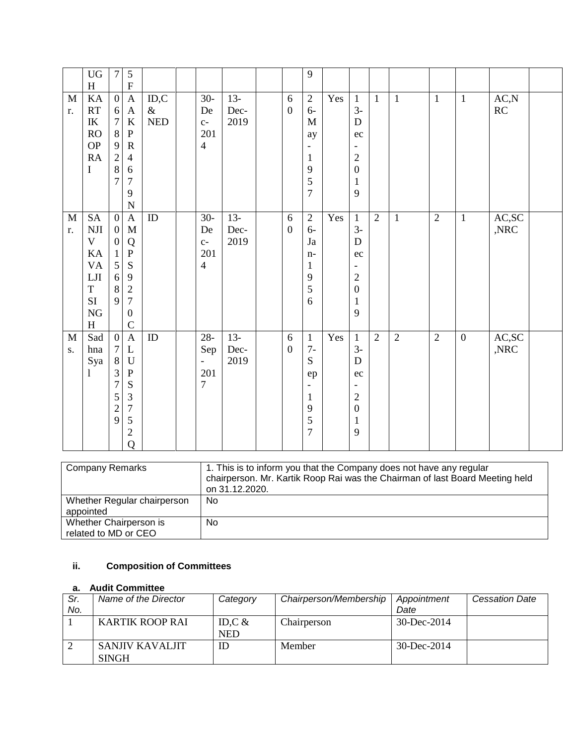|                    | <b>UG</b><br>H                                                                                                  | $\boldsymbol{7}$                                                                                            | 5<br>$\boldsymbol{\mathrm{F}}$                                                                                                                               |                                              |                                                                      |                        |                       | 9                                                                                                       |     |                                                                                                                        |                |                |                |                  |                                  |  |
|--------------------|-----------------------------------------------------------------------------------------------------------------|-------------------------------------------------------------------------------------------------------------|--------------------------------------------------------------------------------------------------------------------------------------------------------------|----------------------------------------------|----------------------------------------------------------------------|------------------------|-----------------------|---------------------------------------------------------------------------------------------------------|-----|------------------------------------------------------------------------------------------------------------------------|----------------|----------------|----------------|------------------|----------------------------------|--|
| M<br>r.            | KA<br>RT<br>$\ensuremath{\textup{IK}}\xspace$<br><b>RO</b><br><b>OP</b><br>RA<br>I                              | $\overline{0}$<br>6<br>$\overline{7}$<br>$\,8\,$<br>$\mathbf{9}$<br>$\sqrt{2}$<br>$\bf 8$<br>$\overline{7}$ | $\boldsymbol{\mathsf{A}}$<br>$\mathbf{A}$<br>$\bf K$<br>$\mathbf{P}$<br>${\bf R}$<br>$\overline{4}$<br>$\sqrt{6}$<br>$\boldsymbol{7}$<br>9<br>$\overline{N}$ | ID, C<br>$\&$<br>$\ensuremath{\mathsf{NED}}$ | $30-$<br>De<br>$C-$<br>201<br>$\overline{4}$                         | $13 -$<br>Dec-<br>2019 | 6<br>$\boldsymbol{0}$ | $\overline{2}$<br>$6-$<br>M<br>ay<br>$\mathbf{1}$<br>9<br>5<br>$\overline{7}$                           | Yes | $\mathbf{1}$<br>$3-$<br>D<br>ec<br>$\sqrt{2}$<br>$\boldsymbol{0}$<br>$\mathbf{1}$<br>9                                 | $\mathbf{1}$   | $\mathbf{1}$   | $\mathbf{1}$   | $\mathbf{1}$     | $\mathbf{AC},\!\mathbf{N}$<br>RC |  |
| $\mathbf{M}$<br>r. | <b>SA</b><br>$\rm{NJI}$<br>$\mathbf V$<br>KA<br><b>VA</b><br>LJI<br>$\mathbf T$<br><b>SI</b><br>${\rm NG}$<br>H | $\overline{0}$<br>$\overline{0}$<br>$\boldsymbol{0}$<br>$\mathbf{1}$<br>5<br>$\sqrt{6}$<br>$\,8\,$<br>9     | $\mathbf{A}$<br>$\mathbf M$<br>Q<br>${\bf P}$<br>S<br>9<br>$\sqrt{2}$<br>$\boldsymbol{7}$<br>$\boldsymbol{0}$<br>$\mathsf{C}$                                | ID                                           | $30-$<br>De<br>$C-$<br>201<br>$\overline{4}$                         | $13 -$<br>Dec-<br>2019 | 6<br>$\boldsymbol{0}$ | $\overline{2}$<br>$6-$<br>Ja<br>$n-$<br>$\mathbf{1}$<br>9<br>$\mathfrak{S}$<br>6                        | Yes | $\mathbf{1}$<br>$3-$<br>D<br>ec<br>$\overline{c}$<br>$\boldsymbol{0}$<br>$\mathbf{1}$<br>9                             | $\overline{2}$ | $\mathbf{1}$   | $\overline{2}$ | $\mathbf{1}$     | AC, SC<br>,NRC                   |  |
| $\mathbf{M}$<br>S. | Sad<br>hna<br>Sya<br>1                                                                                          | $\overline{0}$<br>$\tau$<br>$8\,$<br>3<br>$\sqrt{ }$<br>5<br>$\overline{c}$<br>9                            | $\mathbf{A}$<br>$\mathbf L$<br>$\mathbf U$<br>${\bf P}$<br>S<br>$\mathfrak{Z}$<br>$\boldsymbol{7}$<br>5<br>$\sqrt{2}$<br>Q                                   | ID                                           | $28 -$<br>Sep<br>$\overline{\phantom{a}}$<br>201<br>$\boldsymbol{7}$ | $13-$<br>Dec-<br>2019  | 6<br>$\boldsymbol{0}$ | $\mathbf{1}$<br>$7-$<br>S<br>ep<br>$\overline{\phantom{0}}$<br>$\mathbf{1}$<br>9<br>5<br>$\overline{7}$ | Yes | $\mathbf{1}$<br>$3-$<br>D<br>ec<br>$\overline{\phantom{a}}$<br>$\overline{c}$<br>$\boldsymbol{0}$<br>$\mathbf{1}$<br>9 | $\overline{2}$ | $\overline{2}$ | $\overline{2}$ | $\boldsymbol{0}$ | AC,SC<br>$,\!{\rm NRC}$          |  |

| <b>Company Remarks</b>                         | 1. This is to inform you that the Company does not have any regular<br>chairperson. Mr. Kartik Roop Rai was the Chairman of last Board Meeting held<br>on 31.12.2020. |
|------------------------------------------------|-----------------------------------------------------------------------------------------------------------------------------------------------------------------------|
| Whether Regular chairperson<br>appointed       | <b>No</b>                                                                                                                                                             |
| Whether Chairperson is<br>related to MD or CEO | No                                                                                                                                                                    |

# **ii. Composition of Committees**

#### **a. Audit Committee**

| Sr.<br>No. | Name of the Director            | Category               | Chairperson/Membership | Appointment<br>Date | <b>Cessation Date</b> |
|------------|---------------------------------|------------------------|------------------------|---------------------|-----------------------|
|            | <b>KARTIK ROOP RAI</b>          | ID,C $&$<br><b>NED</b> | Chairperson            | $30 - Dec - 2014$   |                       |
|            | SANJIV KAVALJIT<br><b>SINGH</b> | ID                     | Member                 | 30-Dec-2014         |                       |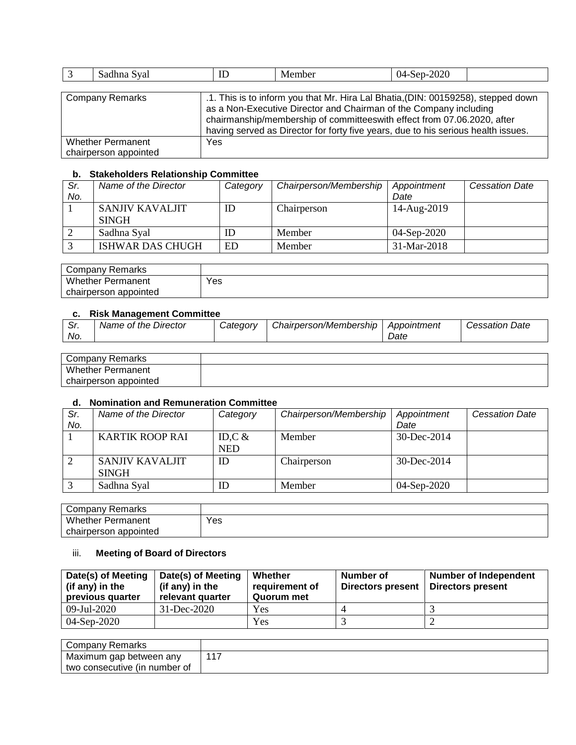| Sadhna Syal                                       | ID                                                                                                                                                                                                                                                                                                                     | Member | $04-Sep-2020$ |  |  |  |  |  |
|---------------------------------------------------|------------------------------------------------------------------------------------------------------------------------------------------------------------------------------------------------------------------------------------------------------------------------------------------------------------------------|--------|---------------|--|--|--|--|--|
|                                                   |                                                                                                                                                                                                                                                                                                                        |        |               |  |  |  |  |  |
| <b>Company Remarks</b>                            | .1. This is to inform you that Mr. Hira Lal Bhatia, (DIN: 00159258), stepped down<br>as a Non-Executive Director and Chairman of the Company including<br>chairmanship/membership of committeeswith effect from 07.06.2020, after<br>having served as Director for forty five years, due to his serious health issues. |        |               |  |  |  |  |  |
| <b>Whether Permanent</b><br>chairperson appointed | Yes                                                                                                                                                                                                                                                                                                                    |        |               |  |  |  |  |  |

#### **b. Stakeholders Relationship Committee**

| Sr. | Name of the Director    | Category | Chairperson/Membership | Appointment   | <b>Cessation Date</b> |  |  |  |  |
|-----|-------------------------|----------|------------------------|---------------|-----------------------|--|--|--|--|
| No. |                         |          |                        | Date          |                       |  |  |  |  |
|     | SANJIV KAVALJIT         | ID       | Chairperson            | 14-Aug-2019   |                       |  |  |  |  |
|     | <b>SINGH</b>            |          |                        |               |                       |  |  |  |  |
|     | Sadhna Syal             |          | Member                 | $04-Sep-2020$ |                       |  |  |  |  |
|     | <b>ISHWAR DAS CHUGH</b> | ED       | Member                 | 31-Mar-2018   |                       |  |  |  |  |

| Company Remarks          |     |
|--------------------------|-----|
| <b>Whether Permanent</b> | Yes |
| chairperson appointed    |     |

#### **c. Risk Management Committee**

| . c<br>. اب<br>No. | Name of the Director | Categorv | Chairperson/Membership | <b>Appointment</b><br>Date | <b>Cessation Date</b> |
|--------------------|----------------------|----------|------------------------|----------------------------|-----------------------|
|                    |                      |          |                        |                            |                       |
|                    | Company Remarks      |          |                        |                            |                       |

| Remarks<br>∵ompanvٽ      |  |
|--------------------------|--|
| Whether,<br>Permanent    |  |
| appointed<br>chairperson |  |

#### **d. Nomination and Remuneration Committee**

| Sr. | Name of the Director   | Category   | Chairperson/Membership | Appointment       | <b>Cessation Date</b> |
|-----|------------------------|------------|------------------------|-------------------|-----------------------|
| No. |                        |            |                        | Date              |                       |
|     | <b>KARTIK ROOP RAI</b> | ID,C $\&$  | Member                 | 30-Dec-2014       |                       |
|     |                        | <b>NED</b> |                        |                   |                       |
|     | <b>SANJIV KAVALJIT</b> | ID         | Chairperson            | $30 - Dec - 2014$ |                       |
|     | <b>SINGH</b>           |            |                        |                   |                       |
|     | Sadhna Syal            | ID         | Member                 | 04-Sep-2020       |                       |

| Company Remarks          |     |
|--------------------------|-----|
| <b>Whether Permanent</b> | Yes |
| chairperson appointed    |     |

## iii. **Meeting of Board of Directors**

| Date(s) of Meeting<br>(if any) in the<br>previous quarter | Date(s) of Meeting<br>(if any) in the<br>relevant quarter | Whether<br>requirement of<br>Quorum met | Number of<br>Directors present | <b>Number of Independent</b><br>Directors present |
|-----------------------------------------------------------|-----------------------------------------------------------|-----------------------------------------|--------------------------------|---------------------------------------------------|
| 09-Jul-2020                                               | $31 - Dec - 2020$                                         | Yes                                     |                                |                                                   |
| 04-Sep-2020                                               |                                                           | Yes                                     |                                |                                                   |

| Company Remarks               |       |
|-------------------------------|-------|
| Maximum gap between any       | $-11$ |
| two consecutive (in number of |       |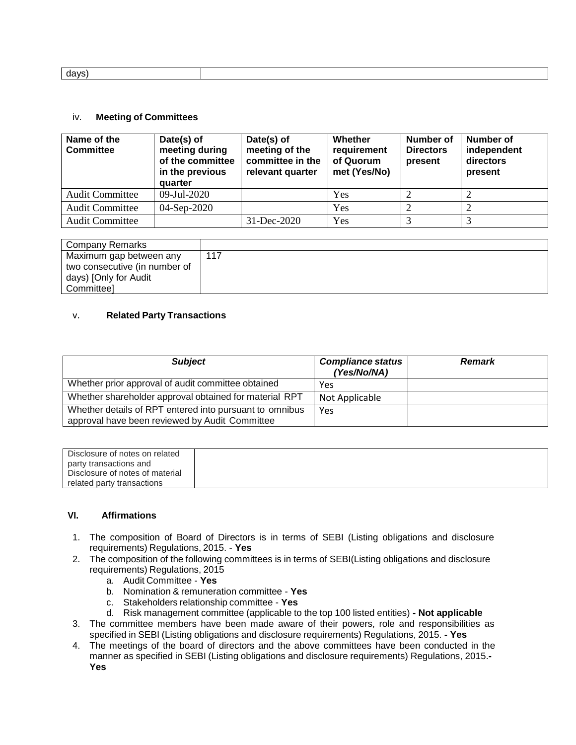| 1avs |  |
|------|--|
|      |  |

#### iv. **Meeting of Committees**

| Name of the<br><b>Committee</b> | Date(s) of<br>meeting during<br>of the committee<br>in the previous<br>quarter | Date(s) of<br>meeting of the<br>committee in the<br>relevant quarter | Whether<br>requirement<br>of Quorum<br>met (Yes/No) | <b>Number of</b><br><b>Directors</b><br>present | Number of<br>independent<br>directors<br>present |
|---------------------------------|--------------------------------------------------------------------------------|----------------------------------------------------------------------|-----------------------------------------------------|-------------------------------------------------|--------------------------------------------------|
| <b>Audit Committee</b>          | 09-Jul-2020                                                                    |                                                                      | Yes                                                 |                                                 |                                                  |
| <b>Audit Committee</b>          | 04-Sep-2020                                                                    |                                                                      | Yes                                                 |                                                 |                                                  |
| <b>Audit Committee</b>          |                                                                                | $31 - Dec - 2020$                                                    | Yes                                                 |                                                 | ⌒                                                |

| Company Remarks               |     |
|-------------------------------|-----|
|                               |     |
| Maximum gap between any       | 117 |
| two consecutive (in number of |     |
|                               |     |
| days) [Only for Audit         |     |
|                               |     |
| Committee]                    |     |
|                               |     |

#### v. **Related Party Transactions**

| <b>Subject</b>                                                                                            | <b>Compliance status</b><br>(Yes/No/NA) | <b>Remark</b> |
|-----------------------------------------------------------------------------------------------------------|-----------------------------------------|---------------|
| Whether prior approval of audit committee obtained                                                        | Yes                                     |               |
| Whether shareholder approval obtained for material RPT                                                    | Not Applicable                          |               |
| Whether details of RPT entered into pursuant to omnibus<br>approval have been reviewed by Audit Committee | Yes                                     |               |

| Disclosure of notes on related  |
|---------------------------------|
| party transactions and          |
| Disclosure of notes of material |
| related party transactions      |

#### **VI. Affirmations**

- 1. The composition of Board of Directors is in terms of SEBI (Listing obligations and disclosure requirements) Regulations, 2015. - **Yes**
- 2. The composition of the following committees is in terms of SEBI(Listing obligations and disclosure requirements) Regulations, 2015
	- a. Audit Committee **Yes**
	- b. Nomination & remuneration committee **Yes**
	- c. Stakeholders relationship committee **Yes**
	- d. Risk management committee (applicable to the top 100 listed entities) **- Not applicable**
- 3. The committee members have been made aware of their powers, role and responsibilities as specified in SEBI (Listing obligations and disclosure requirements) Regulations, 2015. **- Yes**
- 4. The meetings of the board of directors and the above committees have been conducted in the manner as specified in SEBI (Listing obligations and disclosure requirements) Regulations, 2015.**- Yes**